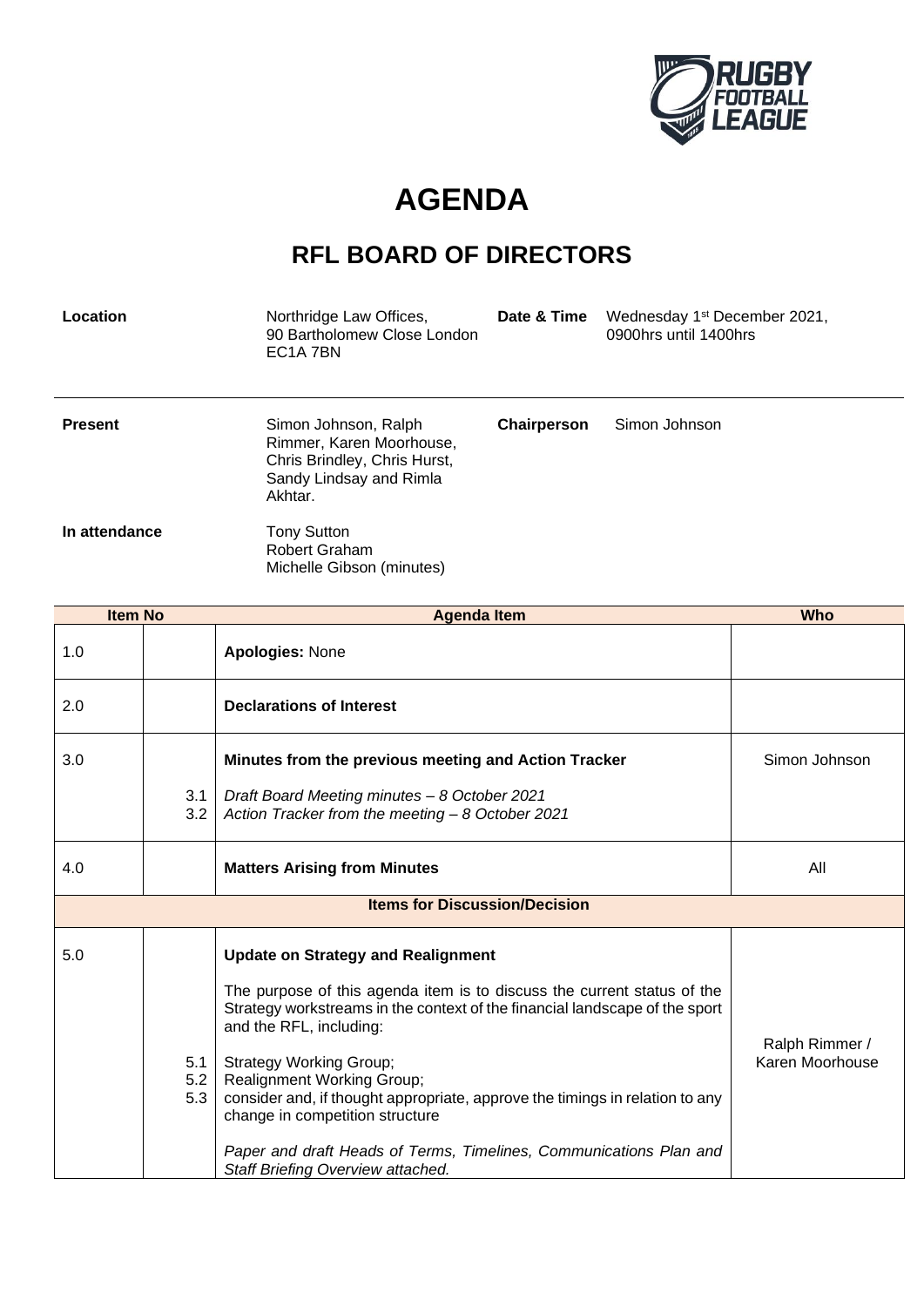

## **AGENDA**

## **RFL BOARD OF DIRECTORS**

| Location       | Northridge Law Offices,<br>90 Bartholomew Close London<br>EC <sub>1</sub> A 7BN                                        | Date & Time | Wednesday 1 <sup>st</sup> December 2021,<br>0900hrs until 1400hrs |
|----------------|------------------------------------------------------------------------------------------------------------------------|-------------|-------------------------------------------------------------------|
| <b>Present</b> | Simon Johnson, Ralph<br>Rimmer, Karen Moorhouse,<br>Chris Brindley, Chris Hurst,<br>Sandy Lindsay and Rimla<br>Akhtar. | Chairperson | Simon Johnson                                                     |
| In attendance  | <b>Tony Sutton</b><br><b>Robert Graham</b><br>Michelle Gibson (minutes)                                                |             |                                                                   |

| <b>Item No</b>                       |                   | <b>Agenda Item</b>                                                                                                                                                                                                                                                                                                                                                                                                                                                                                                                  | <b>Who</b>                        |
|--------------------------------------|-------------------|-------------------------------------------------------------------------------------------------------------------------------------------------------------------------------------------------------------------------------------------------------------------------------------------------------------------------------------------------------------------------------------------------------------------------------------------------------------------------------------------------------------------------------------|-----------------------------------|
| 1.0                                  |                   | <b>Apologies: None</b>                                                                                                                                                                                                                                                                                                                                                                                                                                                                                                              |                                   |
| 2.0                                  |                   | <b>Declarations of Interest</b>                                                                                                                                                                                                                                                                                                                                                                                                                                                                                                     |                                   |
| 3.0                                  | 3.1<br>3.2        | Minutes from the previous meeting and Action Tracker<br>Draft Board Meeting minutes - 8 October 2021<br>Action Tracker from the meeting - 8 October 2021                                                                                                                                                                                                                                                                                                                                                                            | Simon Johnson                     |
| 4.0                                  |                   | <b>Matters Arising from Minutes</b>                                                                                                                                                                                                                                                                                                                                                                                                                                                                                                 | All                               |
| <b>Items for Discussion/Decision</b> |                   |                                                                                                                                                                                                                                                                                                                                                                                                                                                                                                                                     |                                   |
| 5.0                                  | 5.1<br>5.2<br>5.3 | <b>Update on Strategy and Realignment</b><br>The purpose of this agenda item is to discuss the current status of the<br>Strategy workstreams in the context of the financial landscape of the sport<br>and the RFL, including:<br><b>Strategy Working Group;</b><br><b>Realignment Working Group;</b><br>consider and, if thought appropriate, approve the timings in relation to any<br>change in competition structure<br>Paper and draft Heads of Terms, Timelines, Communications Plan and<br>Staff Briefing Overview attached. | Ralph Rimmer /<br>Karen Moorhouse |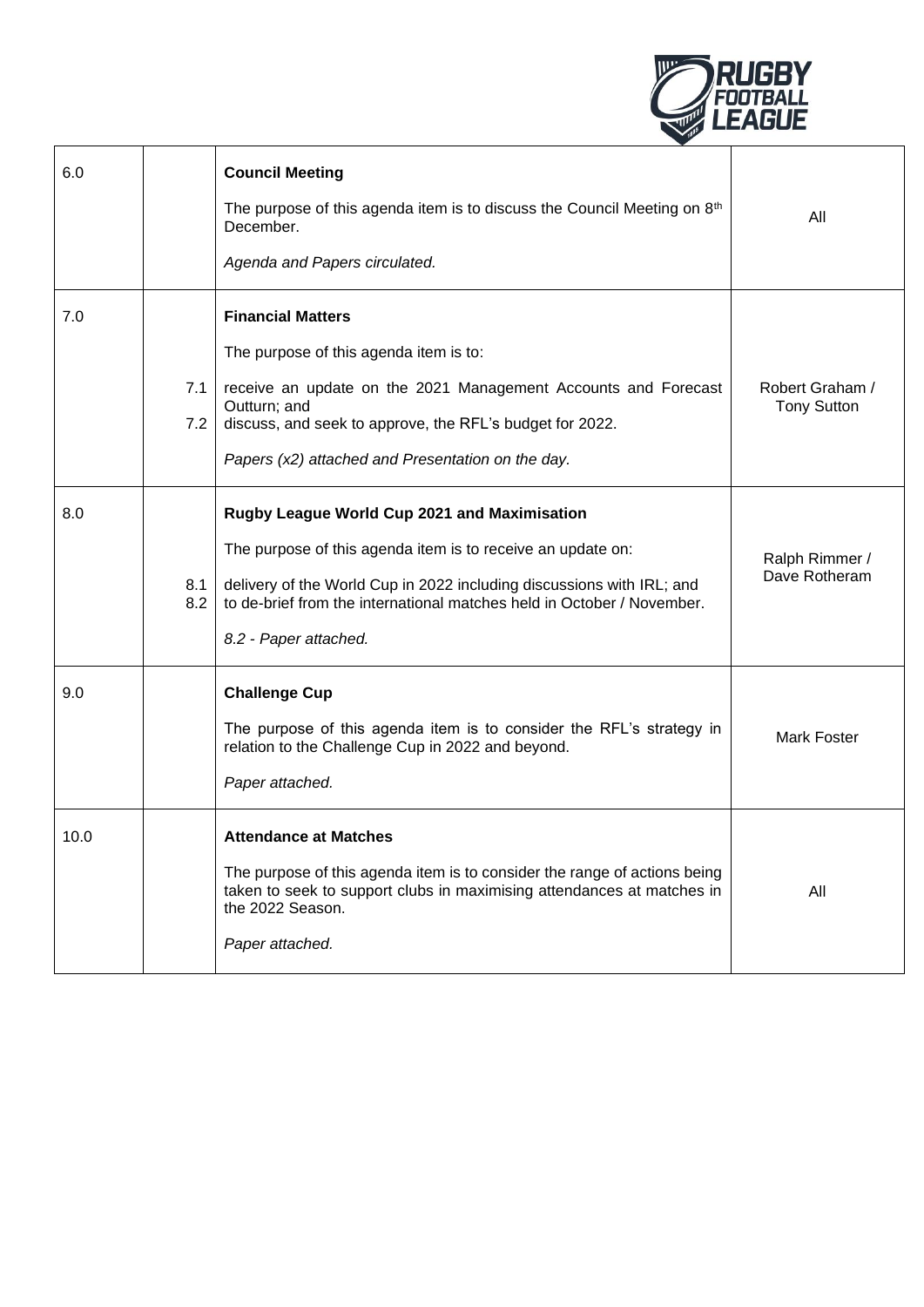

| 6.0  |            | <b>Council Meeting</b><br>The purpose of this agenda item is to discuss the Council Meeting on 8 <sup>th</sup><br>December.<br>Agenda and Papers circulated.                                                                                                                            | All                                   |
|------|------------|-----------------------------------------------------------------------------------------------------------------------------------------------------------------------------------------------------------------------------------------------------------------------------------------|---------------------------------------|
| 7.0  | 7.1<br>7.2 | <b>Financial Matters</b><br>The purpose of this agenda item is to:<br>receive an update on the 2021 Management Accounts and Forecast<br>Outturn; and<br>discuss, and seek to approve, the RFL's budget for 2022.<br>Papers (x2) attached and Presentation on the day.                   | Robert Graham /<br><b>Tony Sutton</b> |
| 8.0  | 8.1<br>8.2 | Rugby League World Cup 2021 and Maximisation<br>The purpose of this agenda item is to receive an update on:<br>delivery of the World Cup in 2022 including discussions with IRL; and<br>to de-brief from the international matches held in October / November.<br>8.2 - Paper attached. | Ralph Rimmer /<br>Dave Rotheram       |
| 9.0  |            | <b>Challenge Cup</b><br>The purpose of this agenda item is to consider the RFL's strategy in<br>relation to the Challenge Cup in 2022 and beyond.<br>Paper attached.                                                                                                                    | <b>Mark Foster</b>                    |
| 10.0 |            | <b>Attendance at Matches</b><br>The purpose of this agenda item is to consider the range of actions being<br>taken to seek to support clubs in maximising attendances at matches in<br>the 2022 Season.<br>Paper attached.                                                              | All                                   |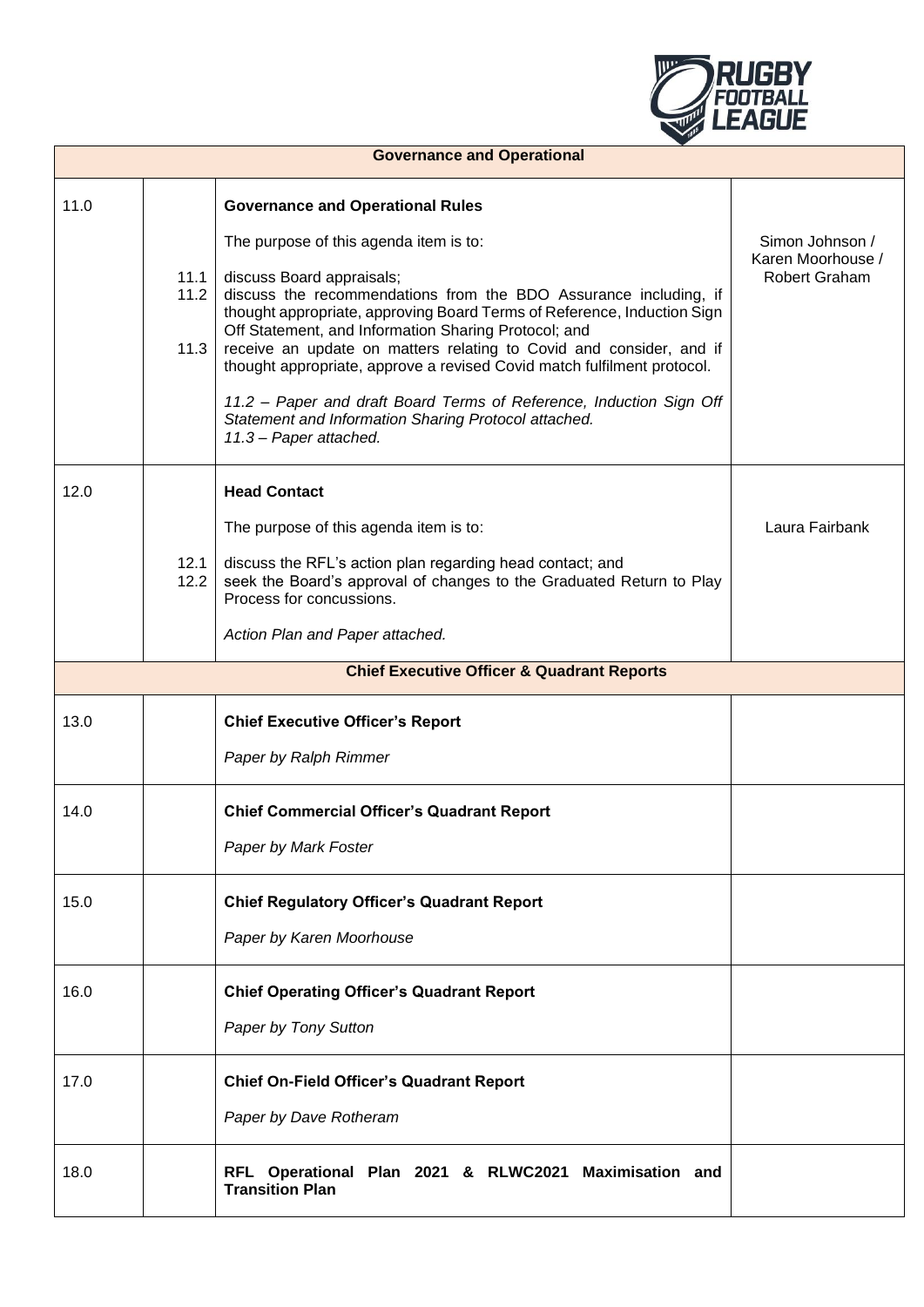

| <b>Governance and Operational</b> |                      |                                                                                                                                                                                                                                                                                                                                                                                                                                                                                                                                                                                                                                  |                                                       |
|-----------------------------------|----------------------|----------------------------------------------------------------------------------------------------------------------------------------------------------------------------------------------------------------------------------------------------------------------------------------------------------------------------------------------------------------------------------------------------------------------------------------------------------------------------------------------------------------------------------------------------------------------------------------------------------------------------------|-------------------------------------------------------|
| 11.0                              | 11.1<br>11.2<br>11.3 | <b>Governance and Operational Rules</b><br>The purpose of this agenda item is to:<br>discuss Board appraisals;<br>discuss the recommendations from the BDO Assurance including, if<br>thought appropriate, approving Board Terms of Reference, Induction Sign<br>Off Statement, and Information Sharing Protocol; and<br>receive an update on matters relating to Covid and consider, and if<br>thought appropriate, approve a revised Covid match fulfilment protocol.<br>11.2 - Paper and draft Board Terms of Reference, Induction Sign Off<br>Statement and Information Sharing Protocol attached.<br>11.3 - Paper attached. | Simon Johnson /<br>Karen Moorhouse /<br>Robert Graham |
| 12.0                              | 12.1<br>12.2         | <b>Head Contact</b><br>The purpose of this agenda item is to:<br>discuss the RFL's action plan regarding head contact; and<br>seek the Board's approval of changes to the Graduated Return to Play<br>Process for concussions.<br>Action Plan and Paper attached.                                                                                                                                                                                                                                                                                                                                                                | Laura Fairbank                                        |
|                                   |                      | <b>Chief Executive Officer &amp; Quadrant Reports</b>                                                                                                                                                                                                                                                                                                                                                                                                                                                                                                                                                                            |                                                       |
| 13.0                              |                      | <b>Chief Executive Officer's Report</b><br>Paper by Ralph Rimmer                                                                                                                                                                                                                                                                                                                                                                                                                                                                                                                                                                 |                                                       |
| 14.0                              |                      | <b>Chief Commercial Officer's Quadrant Report</b><br>Paper by Mark Foster                                                                                                                                                                                                                                                                                                                                                                                                                                                                                                                                                        |                                                       |
| 15.0                              |                      | <b>Chief Regulatory Officer's Quadrant Report</b><br>Paper by Karen Moorhouse                                                                                                                                                                                                                                                                                                                                                                                                                                                                                                                                                    |                                                       |
| 16.0                              |                      | <b>Chief Operating Officer's Quadrant Report</b><br>Paper by Tony Sutton                                                                                                                                                                                                                                                                                                                                                                                                                                                                                                                                                         |                                                       |
| 17.0                              |                      | <b>Chief On-Field Officer's Quadrant Report</b><br>Paper by Dave Rotheram                                                                                                                                                                                                                                                                                                                                                                                                                                                                                                                                                        |                                                       |
| 18.0                              |                      | RFL Operational Plan 2021 & RLWC2021 Maximisation and<br><b>Transition Plan</b>                                                                                                                                                                                                                                                                                                                                                                                                                                                                                                                                                  |                                                       |